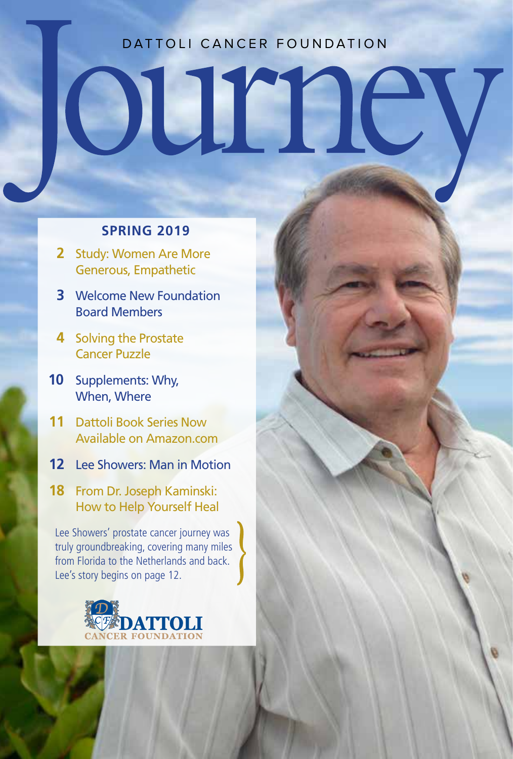#### DATTOLI CANCER FOUNDATION

UIEBIC

#### **SPRING 2019**

**2** Study: Women Are More Generous, Empathetic

 $\blacksquare$ 

- **3** Welcome New Foundation Board Members
- **4** Solving the Prostate Cancer Puzzle
- **10** Supplements: Why, When, Where
- **11** Dattoli Book Series Now Available on Amazon.com
- **12** Lee Showers: Man in Motion
- **18** From Dr. Joseph Kaminski: How to Help Yourself Heal

Lee Showers' prostate cancer journey was truly groundbreaking, covering many miles from Florida to the Netherlands and back. Lee's story begins on page 12.

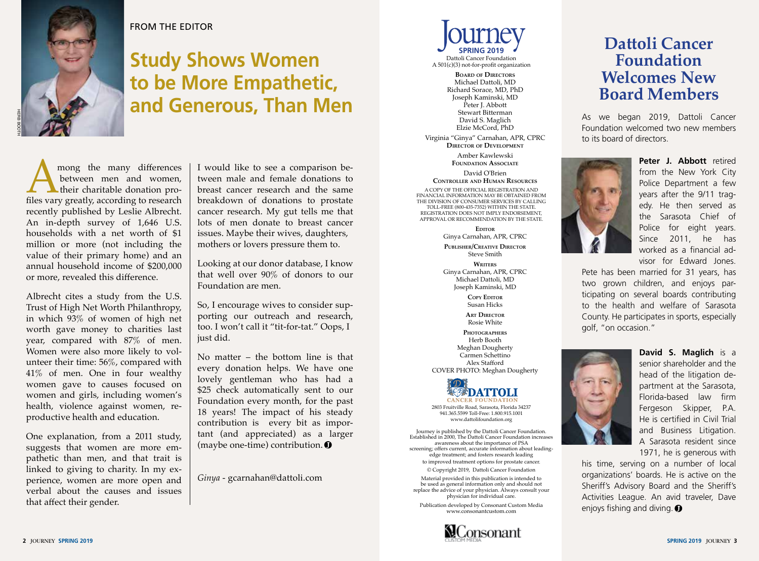

#### FROM THE EDITOR

### **Study Shows Women to be More Empathetic, and Generous, Than Men**

Among the many differences<br>between men and women,<br>files vary greatly, according to research between men and women, their charitable donation prorecently published by Leslie Albrecht. An in-depth survey of 1,646 U.S. households with a net worth of \$1 million or more (not including the value of their primary home) and an annual household income of \$200,000 or more, revealed this difference.

Albrecht cites a study from the U.S. Trust of High Net Worth Philanthropy, in which 93% of women of high net worth gave money to charities last year, compared with 87% of men. Women were also more likely to volunteer their time: 56%, compared with 41% of men. One in four wealthy women gave to causes focused on women and girls, including women's health, violence against women, reproductive health and education.

One explanation, from a 2011 study, suggests that women are more empathetic than men, and that trait is linked to giving to charity. In my experience, women are more open and verbal about the causes and issues that affect their gender.

I would like to see a comparison between male and female donations to breast cancer research and the same breakdown of donations to prostate cancer research. My gut tells me that lots of men donate to breast cancer issues. Maybe their wives, daughters, mothers or lovers pressure them to.

Looking at our donor database, I know that well over 90% of donors to our Foundation are men.

So, I encourage wives to consider supporting our outreach and research, too. I won't call it "tit-for-tat." Oops, I just did.

No matter – the bottom line is that every donation helps. We have one lovely gentleman who has had a \$25 check automatically sent to our Foundation every month, for the past 18 years! The impact of his steady contribution is every bit as important (and appreciated) as a larger (maybe one-time) contribution.

*Ginya* - gcarnahan@dattoli.com



A 501(c)(3) not-for-profit organization

**Board of Directors** Michael Dattoli, MD Richard Sorace, MD, PhD Joseph Kaminski, MD Peter J. Abbott Stewart Bitterman David S. Maglich Elzie McCord, PhD

Virginia "Ginya" Carnahan, APR, CPRC **Director of Development** Amber Kawlewski **Foundation Associate**

David O'Brien **Controller and Human Resources**

A COPY OF THE OFFICIAL REGISTRATION AND FINANCIAL INFORMATION MAY BE OBTAINED FROM THE DIVISION OF CONSUMER SERVICES BY CALLING TOLL-FREE (800-435-7352) WITHIN THE STATE. REGISTRATION DOES NOT IMPLY ENDORSEMENT, APPROVAL OR RECOMMENDATION BY THE STATE.

> **Editor** Ginya Carnahan, APR, CPRC

**Publisher/Creative Director** Steve Smith

**Writers** Ginya Carnahan, APR, CPRC Michael Dattoli, MD Joseph Kaminski, MD

> **COPY EDITOR** Susan Hicks

**Art Director** Rosie White

**Photographers** Herb Booth Meghan Dougherty Carmen Schettino Alex Stafford COVER PHOTO: Meghan Dougherty



2803 Fruitville Road, Sarasota, Florida 34237 941.365.5599 Toll-Free: 1.800.915.1001 www.dattolifoundation.org

Journey is published by the Dattoli Cancer Foundation. Established in 2000, The Dattoli Cancer Foundation increases awareness about the importance of PSA screening; offers current, accurate information about leadingedge treatment; and fosters research leading to improved treatment options for prostate cancer.

© Copyright 2019, Dattoli Cancer Foundation Material provided in this publication is intended to be used as general information only and should not replace the advice of your physician. Always consult your physician for individual care.

Publication developed by Consonant Custom Media www.consonantcustom.com



#### **Dattoli Cancer Foundation Welcomes New Board Members**

As we began 2019, Dattoli Cancer Foundation welcomed two new members to its board of directors.



**Peter J. Abbott** retired from the New York City Police Department a few years after the 9/11 tragedy. He then served as the Sarasota Chief of Police for eight years. Since 2011, he has worked as a financial advisor for Edward Jones.

Pete has been married for 31 years, has two grown children, and enjoys participating on several boards contributing to the health and welfare of Sarasota County. He participates in sports, especially golf, "on occasion."



**David S. Maglich** is a senior shareholder and the head of the litigation department at the Sarasota, Florida-based law firm Fergeson Skipper, P.A. He is certified in Civil Trial and Business Litigation. A Sarasota resident since 1971, he is generous with

his time, serving on a number of local organizations' boards. He is active on the Sheriff's Advisory Board and the Sheriff's Activities League. An avid traveler, Dave enjoys fishing and diving.  $\bullet$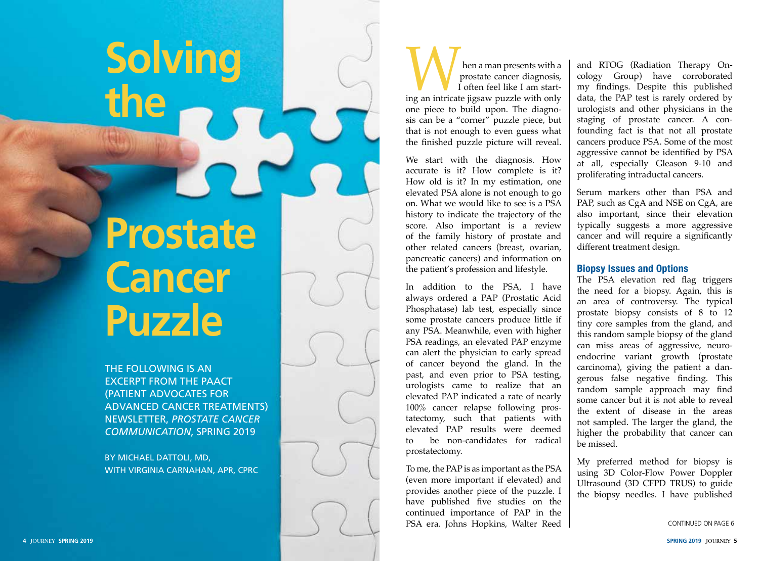# **the Prostate Cancer Puzzle**

**Solving** 

THE FOLLOWING IS AN EXCERPT FROM THE PAACT (PATIENT ADVOCATES FOR ADVANCED CANCER TREATMENTS) NEWSLETTER, *PROSTATE CANCER COMMUNICATION*, SPRING 2019

BY MICHAEL DATTOLI, MD, WITH VIRGINIA CARNAHAN, APR, CPRC

**independent with a**<br>prostate cancer diagnosis,<br>I often feel like I am start-<br>ing an intricate jigsaw puzzle with only prostate cancer diagnosis, I often feel like I am start one piece to build upon. The diagno sis can be a "corner" puzzle piece, but that is not enough to even guess what the finished puzzle picture will reveal.

We start with the diagnosis. How accurate is it? How complete is it? How old is it? In my estimation, one elevated PSA alone is not enough to go on. What we would like to see is a PSA history to indicate the trajectory of the score. Also important is a review of the family history of prostate and other related cancers (breast, ovarian, pancreatic cancers) and information on the patient's profession and lifestyle.

In addition to the PSA, I have always ordered a PAP (Prostatic Acid Phosphatase) lab test, especially since some prostate cancers produce little if any PSA. Meanwhile, even with higher PSA readings, an elevated PAP enzyme can alert the physician to early spread of cancer beyond the gland. In the past, and even prior to PSA testing, urologists came to realize that an elevated PAP indicated a rate of nearly 100% cancer relapse following pros tatectomy, such that patients with elevated PAP results were deemed to be non-candidates for radical prostatectomy.

To me, the PAP is as important as the PSA (even more important if elevated) and provides another piece of the puzzle. I have published five studies on the continued importance of PAP in the PSA era. Johns Hopkins, Walter Reed

and RTOG (Radiation Therapy On cology Group) have corroborated my findings. Despite this published data, the PAP test is rarely ordered by urologists and other physicians in the staging of prostate cancer. A confounding fact is that not all prostate cancers produce PSA. Some of the most aggressive cannot be identified by PSA at all, especially Gleason 9-10 and proliferating intraductal cancers.

Serum markers other than PSA and PAP, such as CgA and NSE on CgA, are also important, since their elevation typically suggests a more aggressive cancer and will require a significantly different treatment design.

#### **Biopsy Issues and Options**

The PSA elevation red flag triggers the need for a biopsy. Again, this is an area of controversy. The typical prostate biopsy consists of 8 to 12 tiny core samples from the gland, and this random sample biopsy of the gland can miss areas of aggressive, neuro endocrine variant growth (prostate carcinoma), giving the patient a dan gerous false negative finding. This random sample approach may find some cancer but it is not able to reveal the extent of disease in the areas not sampled. The larger the gland, the higher the probability that cancer can be missed.

My preferred method for biopsy is using 3D Color-Flow Power Doppler Ultrasound (3D CFPD TRUS) to guide the biopsy needles. I have published

```
CONTINUED ON PAGE 6
```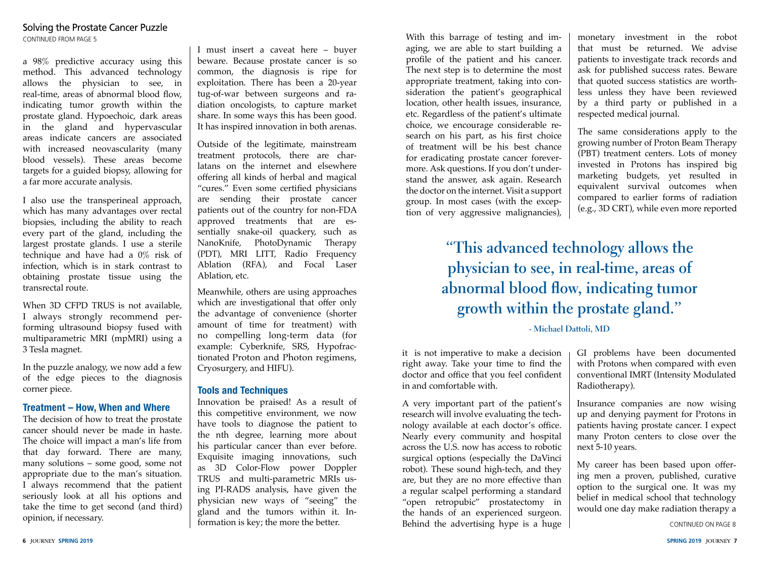a 98% predictive accuracy using this method. This advanced technology allows the physician to see, in real-time, areas of abnormal blood flow, indicating tumor growth within the prostate gland. Hypoechoic, dark areas in the gland and hypervascular areas indicate cancers are associated with increased neovascularity (many blood vessels). These areas become targets for a guided biopsy, allowing for a far more accurate analysis.

I also use the transperineal approach, which has many advantages over rectal biopsies, including the ability to reach every part of the gland, including the largest prostate glands. I use a sterile technique and have had a 0% risk of infection, which is in stark contrast to obtaining prostate tissue using the transrectal route.

When 3D CFPD TRUS is not available. I always strongly recommend performing ultrasound biopsy fused with multiparametric MRI (mpMRI) using a 3 Tesla magnet.

In the puzzle analogy, we now add a few of the edge pieces to the diagnosis corner piece.

#### **Treatment – How, When and Where**

The decision of how to treat the prostate cancer should never be made in haste. The choice will impact a man's life from that day forward. There are many, many solutions – some good, some not appropriate due to the man's situation. I always recommend that the patient seriously look at all his options and take the time to get second (and third) opinion, if necessary.

I must insert a caveat here – buyer beware. Because prostate cancer is so common, the diagnosis is ripe for exploitation. There has been a 20-year tug-of-war between surgeons and radiation oncologists, to capture market share. In some ways this has been good. It has inspired innovation in both arenas.

Outside of the legitimate, mainstream treatment protocols, there are charlatans on the internet and elsewhere offering all kinds of herbal and magical "cures." Even some certified physicians are sending their prostate cancer patients out of the country for non-FDA approved treatments that are essentially snake-oil quackery, such as NanoKnife, PhotoDynamic Therapy (PDT), MRI LITT, Radio Frequency Ablation (RFA), and Focal Laser Ablation, etc.

Meanwhile, others are using approaches which are investigational that offer only the advantage of convenience (shorter amount of time for treatment) with no compelling long-term data (for example: Cyberknife, SRS, Hypofractionated Proton and Photon regimens, Cryosurgery, and HIFU).

#### **Tools and Techniques**

Innovation be praised! As a result of this competitive environment, we now have tools to diagnose the patient to the nth degree, learning more about his particular cancer than ever before. Exquisite imaging innovations, such as 3D Color-Flow power Doppler TRUS and multi-parametric MRIs using PI-RADS analysis, have given the physician new ways of "seeing" the gland and the tumors within it. Information is key; the more the better.

With this barrage of testing and imaging, we are able to start building a profile of the patient and his cancer. The next step is to determine the most appropriate treatment, taking into consideration the patient's geographical location, other health issues, insurance, etc. Regardless of the patient's ultimate choice, we encourage considerable research on his part, as his first choice of treatment will be his best chance for eradicating prostate cancer forevermore. Ask questions. If you don't understand the answer, ask again. Research the doctor on the internet. Visit a support group. In most cases (with the exception of very aggressive malignancies),

monetary investment in the robot that must be returned. We advise patients to investigate track records and ask for published success rates. Beware that quoted success statistics are worthless unless they have been reviewed by a third party or published in a respected medical journal.

The same considerations apply to the growing number of Proton Beam Therapy (PBT) treatment centers. Lots of money invested in Protons has inspired big marketing budgets, yet resulted in equivalent survival outcomes when compared to earlier forms of radiation (e.g., 3D CRT), while even more reported

### **"This advanced technology allows the physician to see, in real-time, areas of abnormal blood flow, indicating tumor growth within the prostate gland."**

#### **- Michael Dattoli, MD**

it is not imperative to make a decision right away. Take your time to find the doctor and office that you feel confident in and comfortable with.

A very important part of the patient's research will involve evaluating the technology available at each doctor's office. Nearly every community and hospital across the U.S. now has access to robotic surgical options (especially the DaVinci robot). These sound high-tech, and they are, but they are no more effective than a regular scalpel performing a standard "open retropubic" prostatectomy in the hands of an experienced surgeon. Behind the advertising hype is a huge

GI problems have been documented with Protons when compared with even conventional IMRT (Intensity Modulated Radiotherapy).

Insurance companies are now wising up and denying payment for Protons in patients having prostate cancer. I expect many Proton centers to close over the next 5-10 years.

My career has been based upon offering men a proven, published, curative option to the surgical one. It was my belief in medical school that technology would one day make radiation therapy a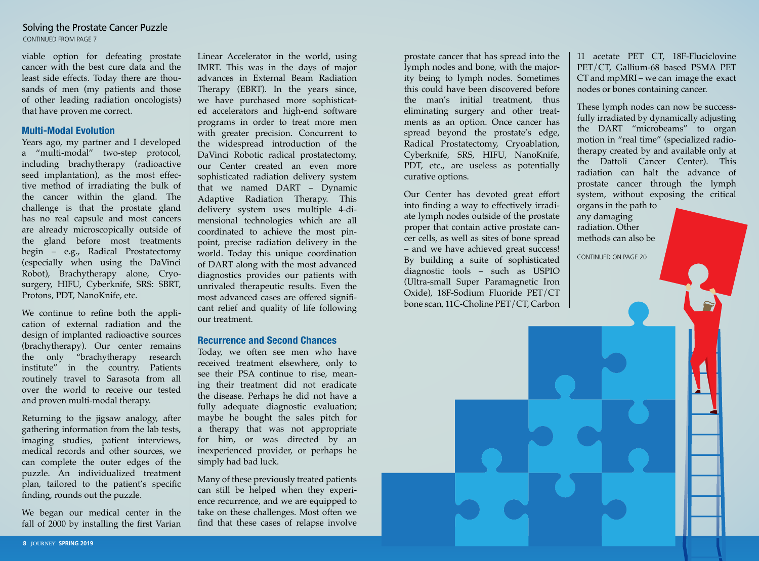#### Solving the Prostate Cancer Puzzle CONTINUED FROM PAGE 7

viable option for defeating prostate cancer with the best cure data and the least side effects. Today there are thousands of men (my patients and those of other leading radiation oncologists) that have proven me correct.

#### **Multi-Modal Evolution**

Years ago, my partner and I developed a "multi-modal" two-step protocol, including brachytherapy (radioactive seed implantation), as the most effective method of irradiating the bulk of the cancer within the gland. The challenge is that the prostate gland has no real capsule and most cancers are already microscopically outside of the gland before most treatments begin – e.g., Radical Prostatectomy (especially when using the DaVinci Robot), Brachytherapy alone, Cryosurgery, HIFU, Cyberknife, SRS: SBRT, Protons, PDT, NanoKnife, etc.

We continue to refine both the application of external radiation and the design of implanted radioactive sources (brachytherapy). Our center remains the only "brachytherapy research institute" in the country. Patients routinely travel to Sarasota from all over the world to receive our tested and proven multi-modal therapy.

Returning to the jigsaw analogy, after gathering information from the lab tests, imaging studies, patient interviews, medical records and other sources, we can complete the outer edges of the puzzle. An individualized treatment plan, tailored to the patient's specific finding, rounds out the puzzle.

We began our medical center in the fall of 2000 by installing the first Varian

Linear Accelerator in the world, using IMRT. This was in the days of major advances in External Beam Radiation Therapy (EBRT). In the years since, we have purchased more sophisticated accelerators and high-end software programs in order to treat more men with greater precision. Concurrent to the widespread introduction of the DaVinci Robotic radical prostatectomy, our Center created an even more sophisticated radiation delivery system that we named DART – Dynamic Adaptive Radiation Therapy. This delivery system uses multiple 4-dimensional technologies which are all coordinated to achieve the most pinpoint, precise radiation delivery in the world. Today this unique coordination of DART along with the most advanced diagnostics provides our patients with unrivaled therapeutic results. Even the most advanced cases are offered significant relief and quality of life following our treatment.

#### **Recurrence and Second Chances**

Today, we often see men who have received treatment elsewhere, only to see their PSA continue to rise, meaning their treatment did not eradicate the disease. Perhaps he did not have a fully adequate diagnostic evaluation; maybe he bought the sales pitch for a therapy that was not appropriate for him, or was directed by an inexperienced provider, or perhaps he simply had bad luck.

Many of these previously treated patients can still be helped when they experience recurrence, and we are equipped to take on these challenges. Most often we find that these cases of relapse involve

prostate cancer that has spread into the lymph nodes and bone, with the majority being to lymph nodes. Sometimes this could have been discovered before the man's initial treatment, thus eliminating surgery and other treatments as an option. Once cancer has spread beyond the prostate's edge, Radical Prostatectomy, Cryoablation, Cyberknife, SRS, HIFU, NanoKnife, PDT, etc., are useless as potentially curative options.

Our Center has devoted great effort into finding a way to effectively irradiate lymph nodes outside of the prostate proper that contain active prostate cancer cells, as well as sites of bone spread – and we have achieved great success! By building a suite of sophisticated diagnostic tools – such as USPIO (Ultra-small Super Paramagnetic Iron Oxide), 18F-Sodium Fluoride PET/CT bone scan, 11C-Choline PET/CT, Carbon

11 acetate PET CT, 18F-Fluciclovine PET/CT, Gallium-68 based PSMA PET CT and mpMRI – we can image the exact nodes or bones containing cancer.

These lymph nodes can now be successfully irradiated by dynamically adjusting the DART "microbeams" to organ motion in "real time" (specialized radiotherapy created by and available only at the Dattoli Cancer Center). This radiation can halt the advance of prostate cancer through the lymph system, without exposing the critical

organs in the path to any damaging radiation. Other methods can also be

CONTINUED ON PAGE 20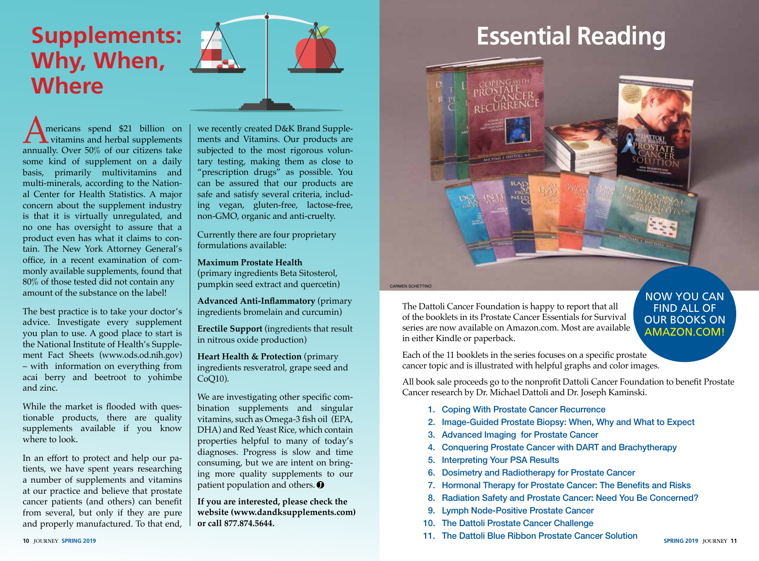## **Supplements: Why, When, Where**

**AMERICAN SPEND SET SPEND SET SPEND SURFER**<br>
annually. Over 50% of our citizens take vitamins and herbal supplements some kind of supplement on a daily basis, primarily multivitamins and multi-minerals, according to the National Center for Health Statistics. A major concern about the supplement industry is that it is virtually unregulated, and no one has oversight to assure that a product even has what it claims to contain. The New York Attorney General's office, in a recent examination of commonly available supplements, found that 80% of those tested did not contain any amount of the substance on the label!

The best practice is to take your doctor's advice. Investigate every supplement you plan to use. A good place to start is the National Institute of Health's Supplement Fact Sheets (www.ods.od.nih.gov) – with information on everything from acai berry and beetroot to yohimbe and zinc.

While the market is flooded with questionable products, there are quality supplements available if you know where to look.

In an effort to protect and help our patients, we have spent years researching a number of supplements and vitamins at our practice and believe that prostate cancer patients (and others) can benefit from several, but only if they are pure and properly manufactured. To that end, we recently created D&K Brand Supplements and Vitamins. Our products are subjected to the most rigorous voluntary testing, making them as close to "prescription drugs" as possible. You can be assured that our products are safe and satisfy several criteria, including vegan, gluten-free, lactose-free, non-GMO, organic and anti-cruelty.

Currently there are four proprietary formulations available:

**Maximum Prostate Health** (primary ingredients Beta Sitosterol, pumpkin seed extract and quercetin)

**Advanced Anti-Inflammatory** (primary ingredients bromelain and curcumin)

**Erectile Support** (ingredients that result in nitrous oxide production)

**Heart Health & Protection** (primary ingredients resveratrol, grape seed and CoQ10).

We are investigating other specific combination supplements and singular vitamins, such as Omega-3 fish oil (EPA, DHA) and Red Yeast Rice, which contain properties helpful to many of today's diagnoses. Progress is slow and time consuming, but we are intent on bringing more quality supplements to our patient population and others.  $\bullet$ 

**If you are interested, please check the website (www.dandksupplements.com) or call 877.874.5644.**

# **Essential Reading**



CARMEN SCHETTINO

The Dattoli Cancer Foundation is happy to report that all of the booklets in its Prostate Cancer Essentials for Survival series are now available on Amazon.com. Most are available in either Kindle or paperback.

#### NOW YOU CAN FIND ALL OF OUR BOOKS ON AMAZON.COM!

Each of the 11 booklets in the series focuses on a specific prostate cancer topic and is illustrated with helpful graphs and color images.

All book sale proceeds go to the nonprofit Dattoli Cancer Foundation to benefit Prostate Cancer research by Dr. Michael Dattoli and Dr. Joseph Kaminski.

- 1. Coping With Prostate Cancer Recurrence
- 2. Image-Guided Prostate Biopsy: When, Why and What to Expect
- 3. Advanced Imaging for Prostate Cancer
- 4. Conquering Prostate Cancer with DART and Brachytherapy
- 5. Interpreting Your PSA Results
- 6. Dosimetry and Radiotherapy for Prostate Cancer
- 7. Hormonal Therapy for Prostate Cancer: The Benefits and Risks
- 8. Radiation Safety and Prostate Cancer: Need You Be Concerned?
- 9. Lymph Node-Positive Prostate Cancer
- 10. The Dattoli Prostate Cancer Challenge
- **10** JOURNEY **SPRING 2019 SPRING 2019** JOURNEY **11** 11. The Dattoli Blue Ribbon Prostate Cancer Solution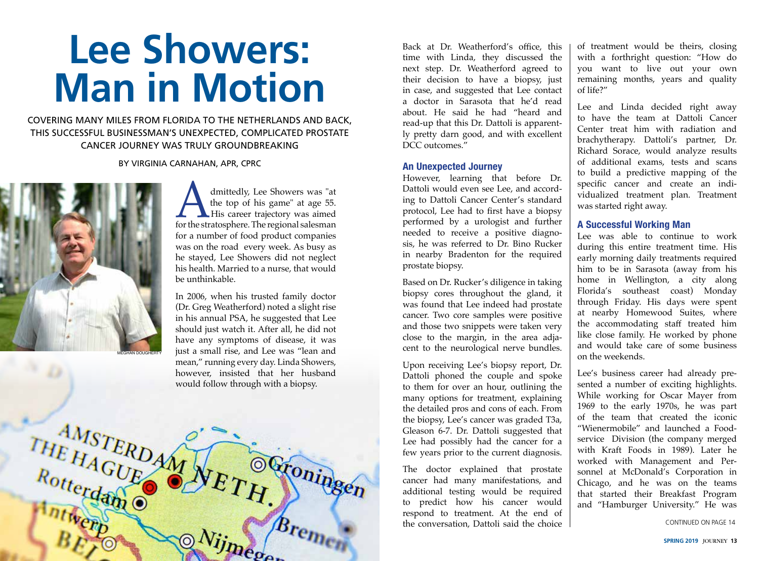# **Lee Showers: Man in Motion**

COVERING MANY MILES FROM FLORIDA TO THE NETHERLANDS AND BACK, THIS SUCCESSFUL BUSINESSMAN'S UNEXPECTED, COMPLICATED PROSTATE CANCER JOURNEY WAS TRULY GROUNDBREAKING

BY VIRGINIA CARNAHAN, APR, CPRC



dmittedly, Lee Showers was "at the top of his game" at age 55. His career trajectory was aimed for the stratosphere. The regional salesman the top of his game" at age 55. **His career trajectory was aimed** for a number of food product companies was on the road every week. As busy as he stayed, Lee Showers did not neglect his health. Married to a nurse, that would be unthinkable.

In 2006, when his trusted family doctor (Dr. Greg Weatherford) noted a slight rise in his annual PSA, he suggested that Lee should just watch it. After all, he did not have any symptoms of disease, it was just a small rise, and Lee was "lean and mean," running every day. Linda Showers, however, insisted that her husband would follow through with a biopsy.



Back at Dr. Weatherford's office, this time with Linda, they discussed the next step. Dr. Weatherford agreed to their decision to have a biopsy, just in case, and suggested that Lee contact a doctor in Sarasota that he'd read about. He said he had "heard and read-up that this Dr. Dattoli is apparently pretty darn good, and with excellent DCC outcomes."

#### **An Unexpected Journey**

However, learning that before Dr. Dattoli would even see Lee, and according to Dattoli Cancer Center's standard protocol, Lee had to first have a biopsy performed by a urologist and further needed to receive a positive diagnosis, he was referred to Dr. Bino Rucker in nearby Bradenton for the required prostate biopsy.

Based on Dr. Rucker's diligence in taking biopsy cores throughout the gland, it was found that Lee indeed had prostate cancer. Two core samples were positive and those two snippets were taken very close to the margin, in the area adjacent to the neurological nerve bundles.

Upon receiving Lee's biopsy report, Dr. Dattoli phoned the couple and spoke to them for over an hour, outlining the many options for treatment, explaining the detailed pros and cons of each. From the biopsy, Lee's cancer was graded T3a, Gleason 6-7. Dr. Dattoli suggested that Lee had possibly had the cancer for a few years prior to the current diagnosis.

The doctor explained that prostate cancer had many manifestations, and additional testing would be required to predict how his cancer would respond to treatment. At the end of the conversation, Dattoli said the choice

of treatment would be theirs, closing with a forthright question: "How do you want to live out your own remaining months, years and quality of life?"

Lee and Linda decided right away to have the team at Dattoli Cancer Center treat him with radiation and brachytherapy. Dattoli's partner, Dr. Richard Sorace, would analyze results of additional exams, tests and scans to build a predictive mapping of the specific cancer and create an individualized treatment plan. Treatment was started right away.

#### **A Successful Working Man**

Lee was able to continue to work during this entire treatment time. His early morning daily treatments required him to be in Sarasota (away from his home in Wellington, a city along Florida's southeast coast) Monday through Friday. His days were spent at nearby Homewood Suites, where the accommodating staff treated him like close family. He worked by phone and would take care of some business on the weekends.

Lee's business career had already presented a number of exciting highlights. While working for Oscar Mayer from 1969 to the early 1970s, he was part of the team that created the iconic "Wienermobile" and launched a Foodservice Division (the company merged with Kraft Foods in 1989). Later he worked with Management and Personnel at McDonald's Corporation in Chicago, and he was on the teams that started their Breakfast Program and "Hamburger University." He was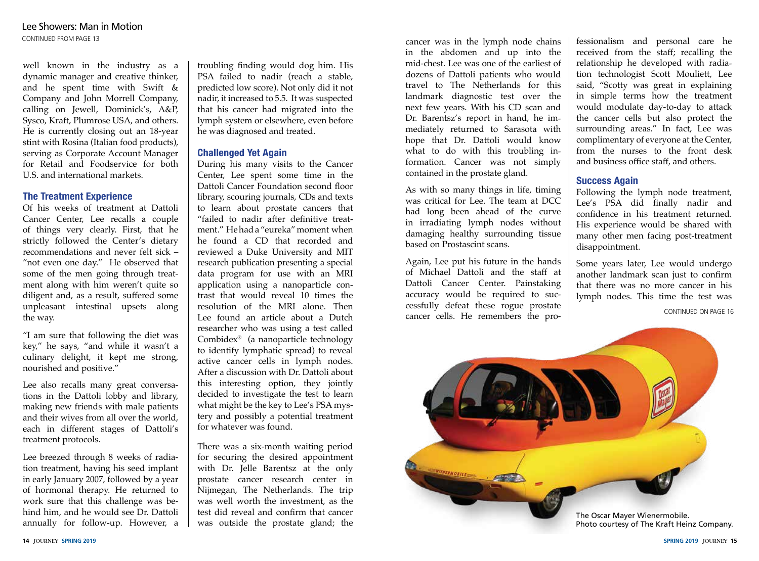well known in the industry as a dynamic manager and creative thinker, and he spent time with Swift & Company and John Morrell Company, calling on Jewell, Dominick's, A&P, Sysco, Kraft, Plumrose USA, and others. He is currently closing out an 18-year stint with Rosina (Italian food products), serving as Corporate Account Manager for Retail and Foodservice for both U.S. and international markets.

#### **The Treatment Experience**

Of his weeks of treatment at Dattoli Cancer Center, Lee recalls a couple of things very clearly. First, that he strictly followed the Center's dietary recommendations and never felt sick – "not even one day." He observed that some of the men going through treatment along with him weren't quite so diligent and, as a result, suffered some unpleasant intestinal upsets along the way.

"I am sure that following the diet was key," he says, "and while it wasn't a culinary delight, it kept me strong, nourished and positive."

Lee also recalls many great conversations in the Dattoli lobby and library, making new friends with male patients and their wives from all over the world, each in different stages of Dattoli's treatment protocols.

Lee breezed through 8 weeks of radiation treatment, having his seed implant in early January 2007, followed by a year of hormonal therapy. He returned to work sure that this challenge was behind him, and he would see Dr. Dattoli annually for follow-up. However, a

troubling finding would dog him. His PSA failed to nadir (reach a stable, predicted low score). Not only did it not nadir, it increased to 5.5. It was suspected that his cancer had migrated into the lymph system or elsewhere, even before he was diagnosed and treated.

#### **Challenged Yet Again**

During his many visits to the Cancer Center, Lee spent some time in the Dattoli Cancer Foundation second floor library, scouring journals, CDs and texts to learn about prostate cancers that "failed to nadir after definitive treatment." He had a "eureka" moment when he found a CD that recorded and reviewed a Duke University and MIT research publication presenting a special data program for use with an MRI application using a nanoparticle contrast that would reveal 10 times the resolution of the MRI alone. Then Lee found an article about a Dutch researcher who was using a test called Combidex® (a nanoparticle technology to identify lymphatic spread) to reveal active cancer cells in lymph nodes. After a discussion with Dr. Dattoli about this interesting option, they jointly decided to investigate the test to learn what might be the key to Lee's PSA mystery and possibly a potential treatment for whatever was found.

There was a six-month waiting period for securing the desired appointment with Dr. Jelle Barentsz at the only prostate cancer research center in Nijmegan, The Netherlands. The trip was well worth the investment, as the test did reveal and confirm that cancer was outside the prostate gland; the

cancer was in the lymph node chains in the abdomen and up into the mid-chest. Lee was one of the earliest of dozens of Dattoli patients who would travel to The Netherlands for this landmark diagnostic test over the next few years. With his CD scan and Dr. Barentsz's report in hand, he immediately returned to Sarasota with hope that Dr. Dattoli would know what to do with this troubling information. Cancer was not simply contained in the prostate gland.

As with so many things in life, timing was critical for Lee. The team at DCC had long been ahead of the curve in irradiating lymph nodes without damaging healthy surrounding tissue based on Prostascint scans.

Again, Lee put his future in the hands of Michael Dattoli and the staff at Dattoli Cancer Center. Painstaking accuracy would be required to successfully defeat these rogue prostate cancer cells. He remembers the pro-

fessionalism and personal care he received from the staff; recalling the relationship he developed with radiation technologist Scott Mouliett, Lee said, "Scotty was great in explaining in simple terms how the treatment would modulate day-to-day to attack the cancer cells but also protect the surrounding areas." In fact, Lee was complimentary of everyone at the Center, from the nurses to the front desk and business office staff, and others.

#### **Success Again**

Following the lymph node treatment, Lee's PSA did finally nadir and confidence in his treatment returned. His experience would be shared with many other men facing post-treatment disappointment.

Some years later, Lee would undergo another landmark scan just to confirm that there was no more cancer in his lymph nodes. This time the test was

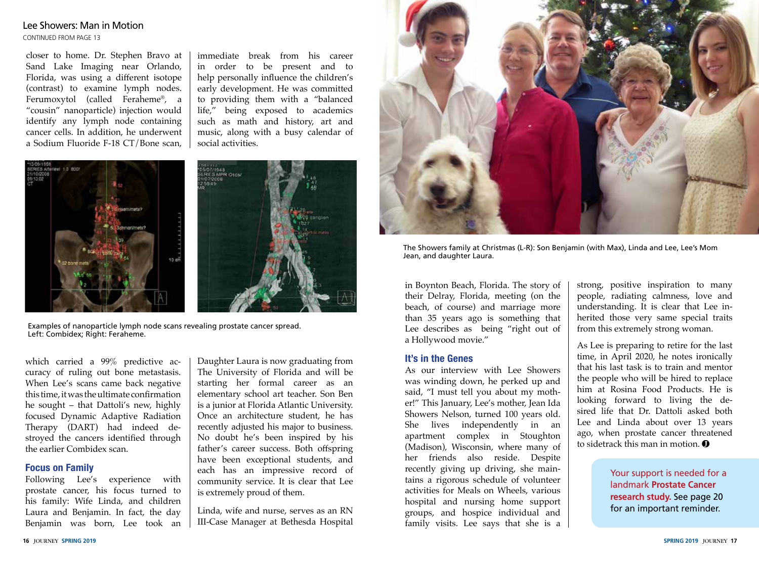#### Lee Showers: Man in Motion

CONTINUED FROM PAGE 13

closer to home. Dr. Stephen Bravo at Sand Lake Imaging near Orlando, Florida, was using a different isotope (contrast) to examine lymph nodes. Ferumoxytol (called Feraheme®, a "cousin" nanoparticle) injection would identify any lymph node containing cancer cells. In addition, he underwent a Sodium Fluoride F-18 CT/Bone scan,

immediate break from his career in order to be present and to help personally influence the children's early development. He was committed to providing them with a "balanced life," being exposed to academics such as math and history, art and music, along with a busy calendar of social activities.





Examples of nanoparticle lymph node scans revealing prostate cancer spread. Left: Combidex; Right: Feraheme.

which carried a 99% predictive accuracy of ruling out bone metastasis. When Lee's scans came back negative this time, it was the ultimate confirmation he sought – that Dattoli's new, highly focused Dynamic Adaptive Radiation Therapy (DART) had indeed destroyed the cancers identified through the earlier Combidex scan.

#### **Focus on Family**

Following Lee's experience with prostate cancer, his focus turned to his family: Wife Linda, and children Laura and Benjamin. In fact, the day Benjamin was born, Lee took an

Daughter Laura is now graduating from The University of Florida and will be starting her formal career as an elementary school art teacher. Son Ben is a junior at Florida Atlantic University. Once an architecture student, he has recently adjusted his major to business. No doubt he's been inspired by his father's career success. Both offspring have been exceptional students, and each has an impressive record of community service. It is clear that Lee is extremely proud of them.

Linda, wife and nurse, serves as an RN III-Case Manager at Bethesda Hospital



The Showers family at Christmas (L-R): Son Benjamin (with Max), Linda and Lee, Lee's Mom Jean, and daughter Laura.

in Boynton Beach, Florida. The story of their Delray, Florida, meeting (on the beach, of course) and marriage more than 35 years ago is something that Lee describes as being "right out of a Hollywood movie."

#### **It's in the Genes**

As our interview with Lee Showers was winding down, he perked up and said, "I must tell you about my mother!" This January, Lee's mother, Jean Ida Showers Nelson, turned 100 years old. She lives independently in an apartment complex in Stoughton (Madison), Wisconsin, where many of her friends also reside. Despite recently giving up driving, she maintains a rigorous schedule of volunteer activities for Meals on Wheels, various hospital and nursing home support groups, and hospice individual and family visits. Lee says that she is a strong, positive inspiration to many people, radiating calmness, love and understanding. It is clear that Lee inherited those very same special traits from this extremely strong woman.

As Lee is preparing to retire for the last time, in April 2020, he notes ironically that his last task is to train and mentor the people who will be hired to replace him at Rosina Food Products. He is looking forward to living the desired life that Dr. Dattoli asked both Lee and Linda about over 13 years ago, when prostate cancer threatened to sidetrack this man in motion.  $\bullet$ 

> Your support is needed for a landmark **Prostate Cancer research study.** See page 20 for an important reminder.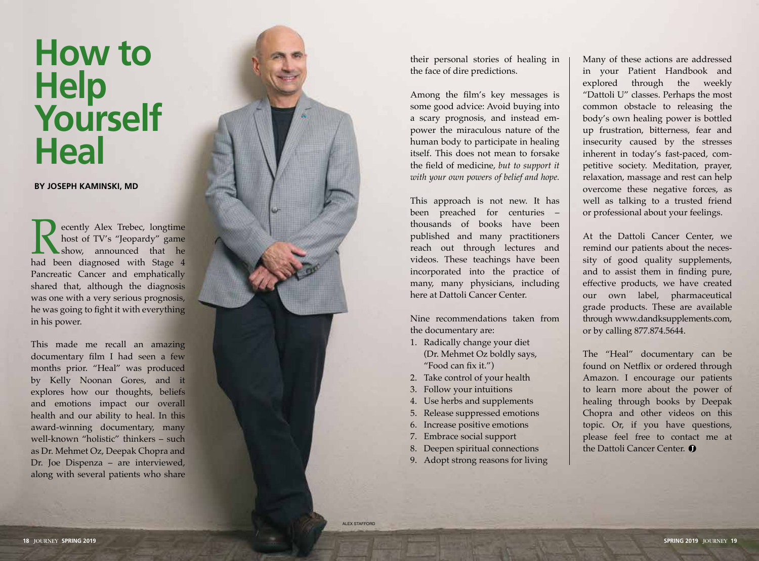# **How to Help Yourself Heal**

**BY JOSEPH KAMINSKI, MD**

ecently Alex Trebec, longtime<br>host of TV's "Jeopardy" game<br>show, announced that he<br>had been diagnosed with Stage 4 host of TV's "Jeopardy" game show, announced that he Pancreatic Cancer and emphatically shared that, although the diagnosis was one with a very serious prognosis, he was going to fight it with everything in his power.

This made me recall an amazing documentary film I had seen a few months prior. "Heal" was produced by Kelly Noonan Gores, and it explores how our thoughts, beliefs and emotions impact our overall health and our ability to heal. In this award-winning documentary, many well-known "holistic" thinkers – such as Dr. Mehmet Oz, Deepak Chopra and Dr. Joe Dispenza – are interviewed, along with several patients who share



their personal stories of healing in the face of dire predictions.

Among the film's key messages is some good advice: Avoid buying into a scary prognosis, and instead em power the miraculous nature of the human body to participate in healing itself. This does not mean to forsake the field of medicine, *but to support it with your own powers of belief and hope.*

This approach is not new. It has been preached for centuries – thousands of books have been published and many practitioners reach out through lectures and videos. These teachings have been incorporated into the practice of many, many physicians, including here at Dattoli Cancer Center.

Nine recommendations taken from the documentary are:

- 1. Radically change your diet (Dr. Mehmet Oz boldly says, "Food can fix it.")
- 2. Take control of your health
- 3. Follow your intuitions
- 4. Use herbs and supplements
- 5. Release suppressed emotions
- 6. Increase positive emotions
- 7. Embrace social support
- 8. Deepen spiritual connections
- 9. Adopt strong reasons for living

Many of these actions are addressed in your Patient Handbook and explored through the weekly "Dattoli U" classes. Perhaps the most common obstacle to releasing the body's own healing power is bottled up frustration, bitterness, fear and insecurity caused by the stresses inherent in today's fast-paced, com petitive society. Meditation, prayer, relaxation, massage and rest can help overcome these negative forces, as well as talking to a trusted friend or professional about your feelings.

At the Dattoli Cancer Center, we remind our patients about the neces sity of good quality supplements, and to assist them in finding pure, effective products, we have created our own label, pharmaceutical grade products. These are available through www.dandksupplements.com, or by calling 877.874.5644.

The "Heal" documentary can be found on Netflix or ordered through Amazon. I encourage our patients to learn more about the power of healing through books by Deepak Chopra and other videos on this topic. Or, if you have questions, please feel free to contact me at the Dattoli Cancer Center. O